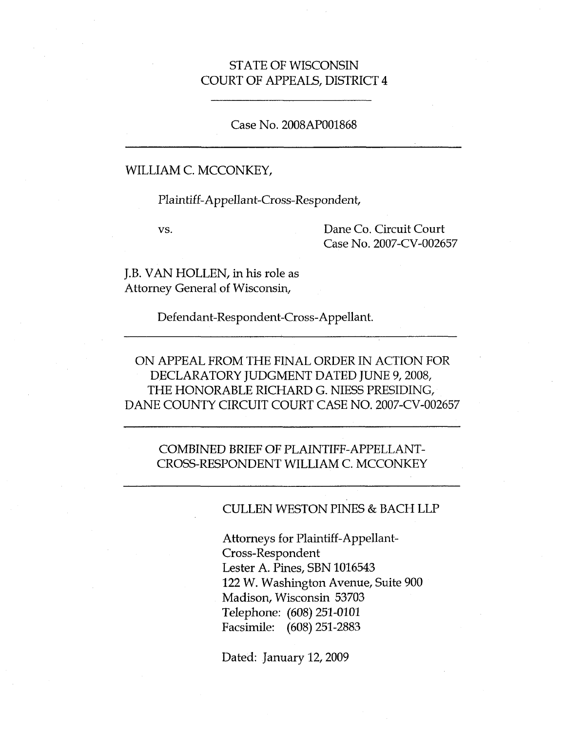### STATE OF WISCONSIN COURT OF APPEALS, DISTRICT 4

#### Case No. 2008AP001868

#### WILLIAM C. MCCONKEY,

Plaintiff-Appellant-Cross-Respondent,

vs.

Dane Co. Circuit Court Case No. 2007-CV-002657

J.B. VAN HOLLEN, in his role as Attorney General of Wisconsin,

Defendant-Respondent-Cross-Appellant.

ON APPEAL FROM THE FINAL ORDER IN ACTION FOR DECLARATORY JUDGMENT DATED JUNE 9,2008, THE HONORABLE RICHARD G. NIESS PRESIDING, DANE COUNTY CIRCUIT COURT CASE NO. 2007-CV-002657

COMBINED BRIEF OF PLAINTIFF-APPELLANT-CROSS-RESPONDENT WILLIAM C. MCCONKEY

#### CULLEN WESTON PINES & BACH LLP

Attorneys for Plaintiff-Appellant-Cross-Respondent Lester A. Pines, SBN 1016543 122 W. Washington Avenue, Suite 900 Madison, Wisconsin 53703 Telephone: (608) 251-0101 Facsimile: (608) 251-2883

Dated: January 12, 2009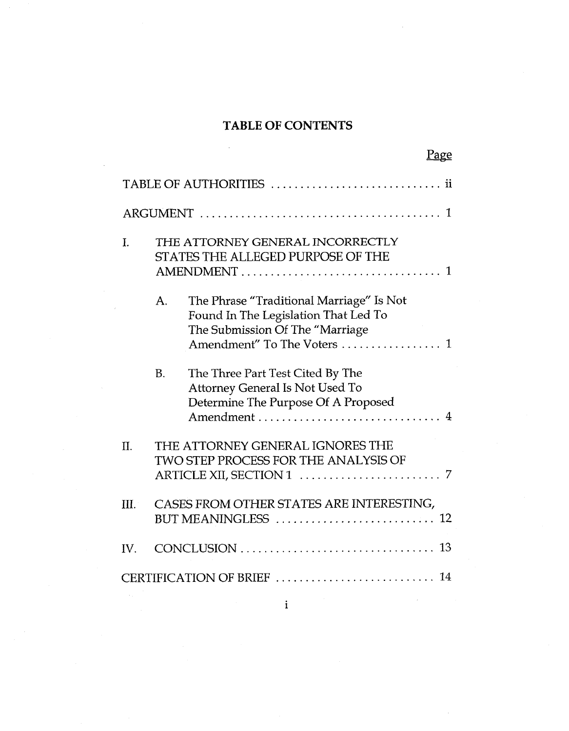## TABLE OF CONTENTS

 $\mathcal{A}^{\mathcal{A}}$ 

|      |           | <u>Page</u>                                                                                                                                          |  |
|------|-----------|------------------------------------------------------------------------------------------------------------------------------------------------------|--|
|      |           |                                                                                                                                                      |  |
|      |           |                                                                                                                                                      |  |
| I.   |           | THE ATTORNEY GENERAL INCORRECTLY<br>STATES THE ALLEGED PURPOSE OF THE<br>-1                                                                          |  |
|      | A.        | The Phrase "Traditional Marriage" Is Not<br>Found In The Legislation That Led To<br>The Submission Of The "Marriage<br>Amendment" To The Voters<br>1 |  |
|      | <b>B.</b> | The Three Part Test Cited By The<br><b>Attorney General Is Not Used To</b><br>Determine The Purpose Of A Proposed<br>4                               |  |
| II.  |           | THE ATTORNEY GENERAL IGNORES THE<br>TWO STEP PROCESS FOR THE ANALYSIS OF                                                                             |  |
| III. |           | CASES FROM OTHER STATES ARE INTERESTING,                                                                                                             |  |
| IV.  |           |                                                                                                                                                      |  |
|      |           |                                                                                                                                                      |  |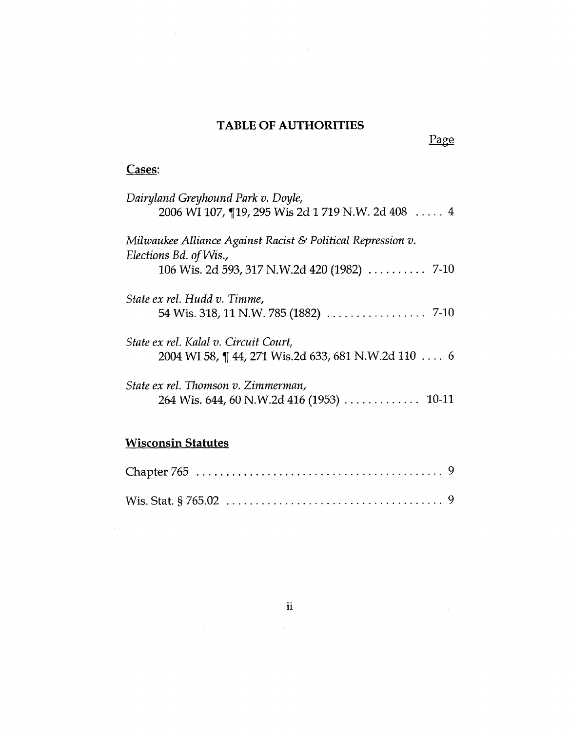## **TABLE OF AUTHORITIES**

Page

# **Cases:**

| Dairyland Greyhound Park v. Doyle,                                        |
|---------------------------------------------------------------------------|
| 2006 WI 107, 19, 295 Wis 2d 1 719 N.W. 2d 408  4                          |
| Milwaukee Alliance Against Racist & Political Repression v.               |
| Elections Bd. of Wis.,                                                    |
| 106 Wis. 2d 593, 317 N.W.2d 420 (1982)  7-10                              |
| State ex rel. Hudd v. Timme,                                              |
| 54 Wis. 318, 11 N.W. 785 (1882) $\ldots \ldots \ldots \ldots \ldots$ 7-10 |
| State ex rel. Kalal v. Circuit Court,                                     |
| 2004 WI 58, ¶ 44, 271 Wis.2d 633, 681 N.W.2d 110 6                        |
| State ex rel. Thomson v. Zimmerman,                                       |
|                                                                           |
|                                                                           |
| <b>Wisconsin Statutes</b>                                                 |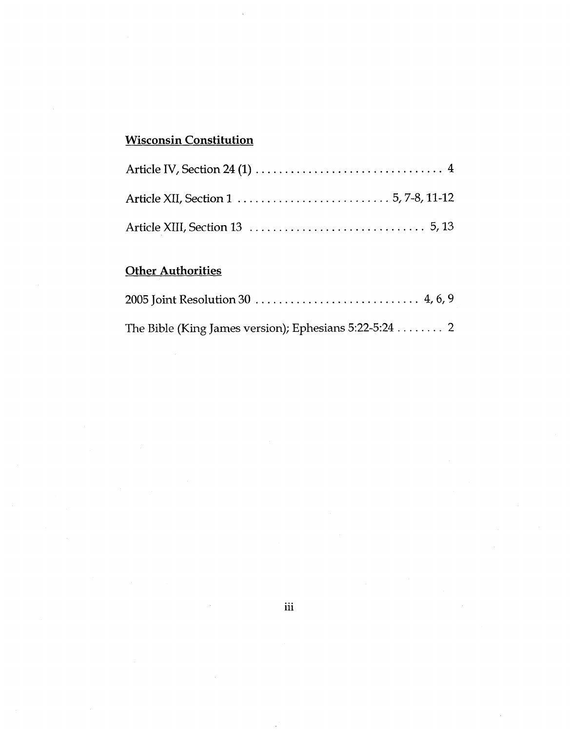## **Wisconsin Constitution**

 $\ddot{\phantom{a}}$ 

## **Other Authorities**

| The Bible (King James version); Ephesians 5:22-5:24 2 |  |
|-------------------------------------------------------|--|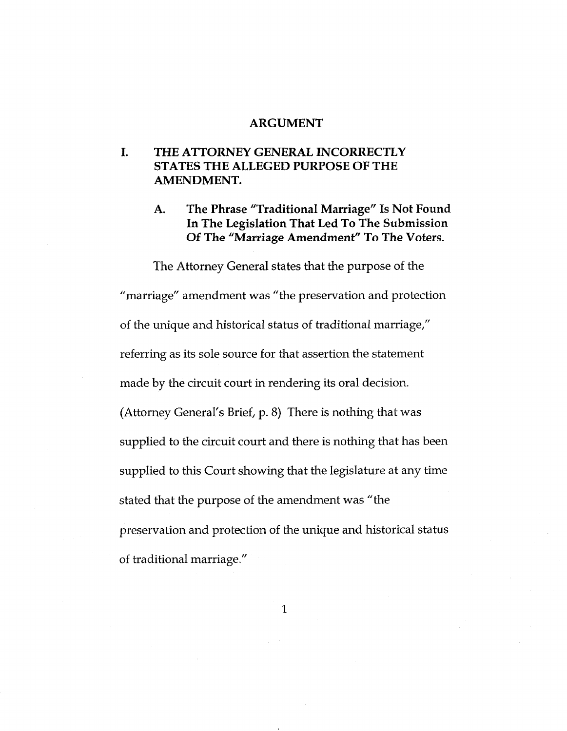#### **ARGUMENT**

### **I. THE ATTORNEY GENERAL INCORRECTLY STATES THE ALLEGED PURPOSE OF THE AMENDMENT.**

**The Phrase "Traditional Marriage" Is Not Found In The Legislation That Led To The Submission Of The "Marriage Amendment" To The Voters. A.**

The Attorney General states that the purpose of the "marriage" amendment was "the preservation and protection of the unique and historical status of traditional marriage," referring as its sole source for that assertion the statement made by the circuit court in rendering its oral decision. (Attorney General's Brief, p. 8) There is nothing that was supplied to the circuit court and there is nothing that has been supplied to this Court showing that the legislature at any time stated that the purpose of the amendment was "the preservation and protection of the unique and historical status of traditional marriage."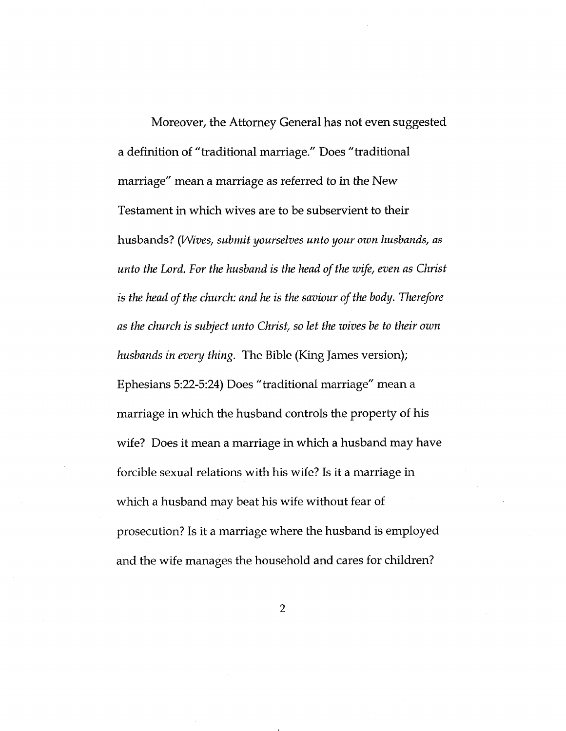Moreover, the Attorney General has not even suggested a definition of "traditional marriage." Does "traditional marriage" mean a marriage as referred to in the New Testament in which wives are to be subservient to their husbands? *(Wives, submit yourselves unto your own husbands, as unto the Lord. For the husband is the head ofthe wife, even as Christ is the head ofthe church: and he is the saviour ofthe body. Therefore as the church is subject unto Christ, so let the wives be to their own husbands in every thing.* The Bible (King James version); Ephesians 5:22-5:24) Does "traditional marriage" mean a marriage in which the husband controls the property of his wife? Does it mean <sup>a</sup> marriage in which <sup>a</sup> husband may have forcible sexual relations with his wife? Is it <sup>a</sup> marriage in which a husband may beat his wife without fear of prosecution? Is it a marriage where the husband is employed and the wife manages the household and cares for children?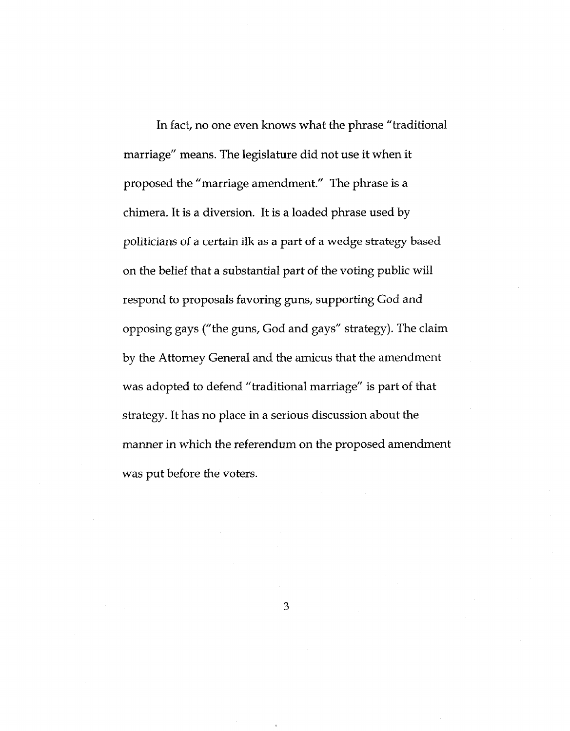In fact, no one even knows what the phrase "traditional marriage" means. The legislature did not use it when it proposed the "marriage amendment." The phrase is a chimera. It is <sup>a</sup> diversion. It is <sup>a</sup> loaded phrase used by politicians of a certain ilk as a part of a wedge strategy based on the belief that a substantial part of the voting public will respond to proposals favoring guns, supporting God and opposing gays ("the guns, God and gays" strategy). The claim by the Attorney General and the amicus that the amendment was adopted to defend "traditional marriage" is part of that strategy. It has no place in <sup>a</sup> serious discussion about the manner in which the referendum on the proposed amendment was put before the voters.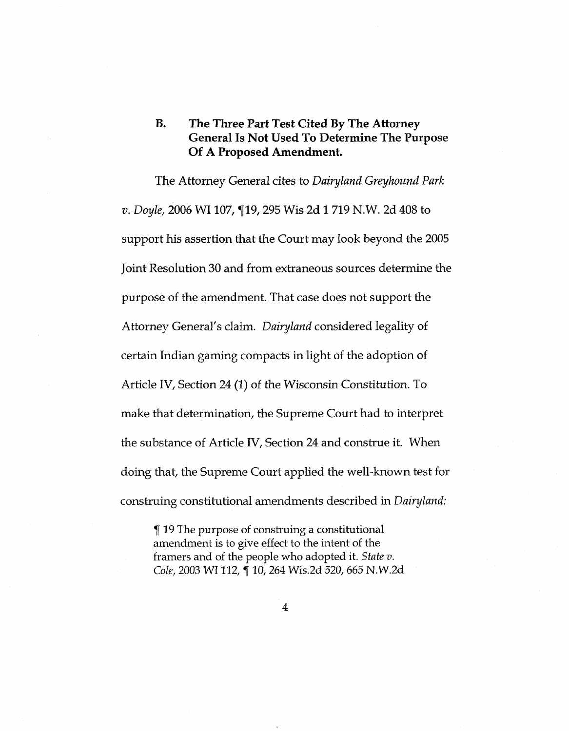### **B. The Three Part Test Cited By The Attorney General Is Not Used To Determine The Purpose Of A Proposed Amendment.**

The Attorney General cites to *Dairyland Greyhound Park v. Doyle,* 2006 WI 107, 119, 295 Wis 2d 1 719 N.W. 2d 408 to support his assertion that the Court may look beyond the 2005 Joint Resolution 30 and from extraneous sources determine the purpose of the amendment. That case does not support the Attorney General's claim. *Dairyland* considered legality of certain Indian gaming compacts in light of the adoption of Article IV, Section 24 (1) of the Wisconsin Constitution. To make that determination, the Supreme Court had to interpret the substance of Article IV, Section 24 and construe it. When doing that, the Supreme Court applied the well-known test for construing constitutional amendments described in *Dairyland:*

19 The purpose of construing a constitutional amendment is to give effect to the intent of the framers and of the people who adopted it. *State v. Cole,* <sup>2003</sup> WI 112, f 10, <sup>264</sup> Wis.2d 520, <sup>665</sup> N.W.2d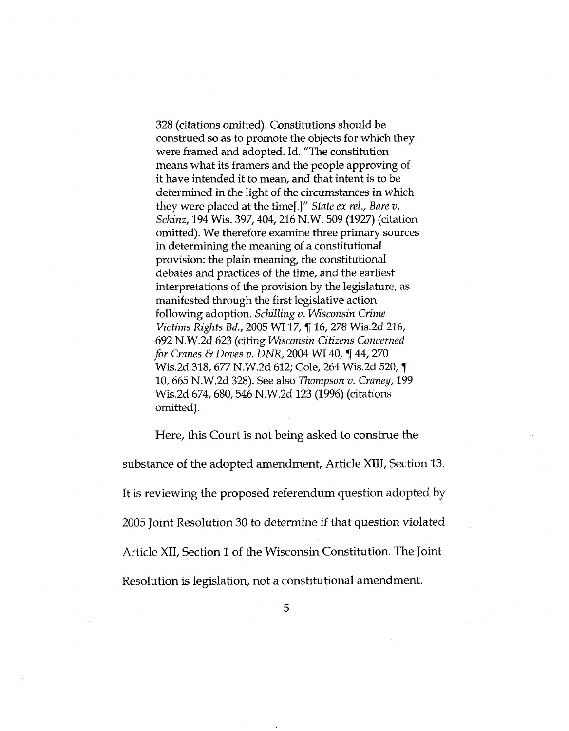328 (citations omitted). Constitutions should be construed so as to promote the objects for which they were framed and adopted. Id. "The constitution means what its framers and the people approving of it have intended it to mean, and that intent is to be determined in the light of the circumstances in which they were placed at the time[.]" *State ex rel., Bare v. Schinz,* 194 Wis. 397,404,216 N.W. 509 (1927) (citation omitted). We therefore examine three primary sources in determining the meaning of a constitutional provision: the plain meaning, the constitutional debates and practices of the time, and the earliest interpretations of the provision by the legislature, as manifested through the first legislative action following adoption. *Schilling v. Wisconsin Crime Victims Rights Bd., 2005 WI 17, ¶ 16, 278 Wis.2d 216,* 692 N.W.2d 623 (citing *Wisconsin Citizens Concerned for Cranes & Doves v. DNR,* <sup>2004</sup> WI 40, f 44, <sup>270</sup> Wis.2d 318, 677 N.W.2d 612; Cole, 264 Wis.2d 520, ¶ 10,665 N.W.2d 328). See also *Thompson v. Craney,* 199 Wis.2d 674, 680, 546 N.W.2d 123 (1996) (citations omitted).

Here, this Court is not being asked to construe the substance of the adopted amendment. Article XIII, Section 13. It is reviewing the proposed referendum question adopted by <sup>2005</sup> Joint Resolution 30 to determine if that question violated Article XII, Section <sup>1</sup> of the Wisconsin Constitution. The Joint Resolution is legislation, not a constitutional amendment.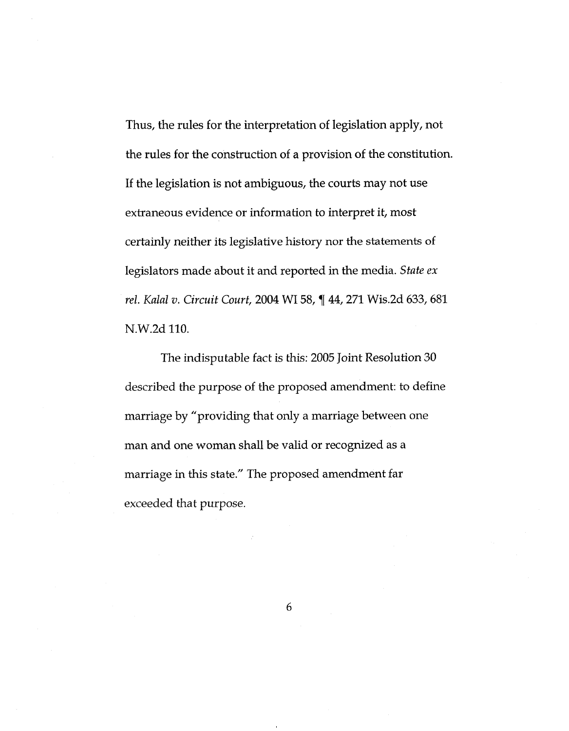Thus, the rules for the interpretation of legislation apply, not the rules for the construction of a provision of the constitution. If the legislation is not ambiguous, the courts may not use extraneous evidence or information to interpret it, most certainly neither its legislative history nor the statements of legislators made about it and reported in the media. *State ex rel. Kalal v. Circuit Court,* <sup>2004</sup> WI58, f 44, <sup>271</sup> Wis.2d 633, <sup>681</sup> N.W.2d 110.

The indisputable fact is this: 2005 Joint Resolution 30 described the purpose of the proposed amendment: to define marriage by "providing that only a marriage between one man and one woman shall be valid or recognized as a marriage in this state." The proposed amendment far exceeded that purpose.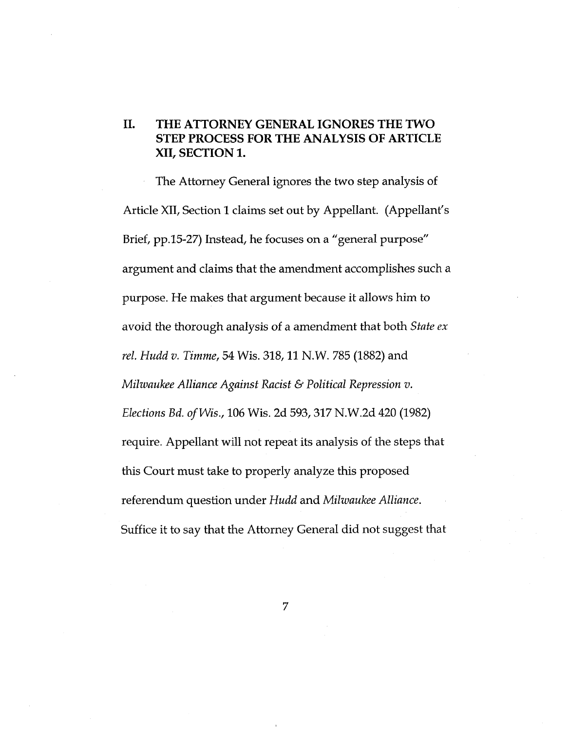### **II. THE ATTORNEY GENERAL IGNORES THE TWO STEP PROCESS FOR THE ANALYSIS OF ARTICLE XII, SECTION 1.**

The Attorney General ignores the two step analysis of Article XII, Section 1 claims set out by Appellant. (Appellant's Brief, pp.15-27) Instead, he focuses on a "general purpose" argument and claims that the amendment accomplishes such a purpose. He makes that argument because it allows him to avoid the thorough analysis of a amendment that both *State ex rel. Hudd v. Timme,* 54 Wis. 318,11 N.W. 785 (1882) and *Milwaukee Alliance Against Racist & Political Repression v. Elections Bd. ofWis.,* 106 Wis. 2d 593,317 N.W.2d 420 (1982) require. Appellant will not repeat its analysis of the steps that this Court must take to properly analyze this proposed referendum question under *Hudd* and *Milwaukee Alliance.* Suffice it to say that the Attorney General did not suggest that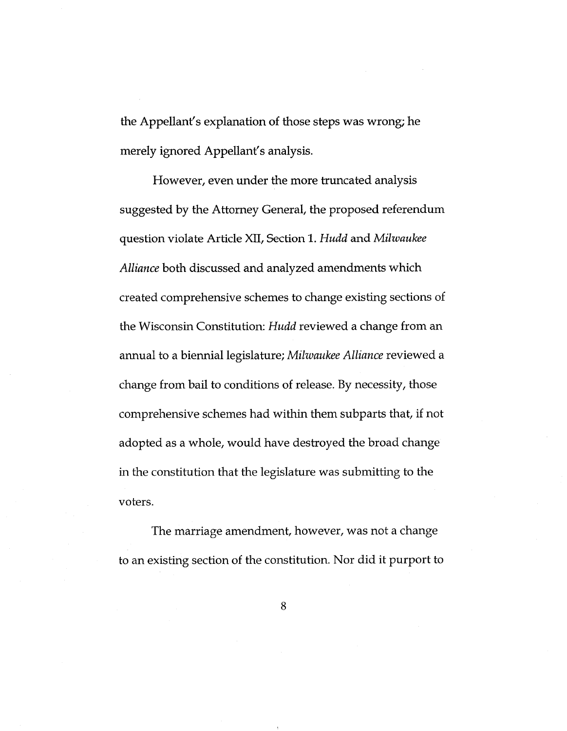the Appellant's explanation of those steps was wrong; he merely ignored Appellant's analysis.

However, even under the more truncated analysis suggested by the Attorney General, the proposed referendum question violate Article XII, Section 1. *Hudd* and *Milwaukee Alliance* both discussed and analyzed amendments which created comprehensive schemes to change existing sections of the Wisconsin Constitution: *Hudd* reviewed a change from an annual to a biennial legislature; *Milwaukee Alliance* reviewed a change from bail to conditions of release. By necessity, those comprehensive schemes had within them subparts that, if not adopted as a whole, would have destroyed the broad change in the constitution that the legislature was submitting to the voters.

The marriage amendment, however, was not a change to an existing section of the constitution. Nor did it purport to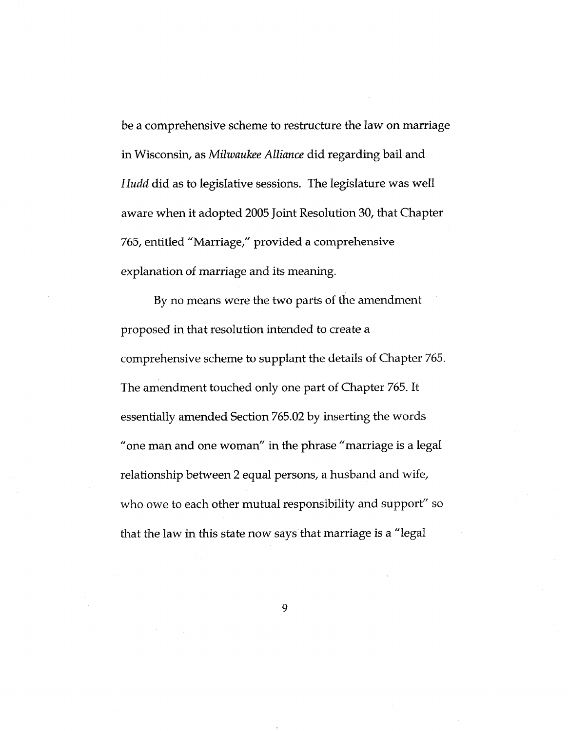be a comprehensive scheme to restructure the law on marriage in Wisconsin, as *Milwaukee Alliance* did regarding bail and *Hudd* did as to legislative sessions. The legislature was well aware when it adopted <sup>2005</sup> Joint Resolution 30, that Chapter 765, entitled "Marriage," provided a comprehensive explanation of marriage and its meaning.

By no means were the two parts of the amendment proposed in that resolution intended to create a comprehensive scheme to supplant the details of Chapter 765. The amendment touched only one part of Chapter 765. It essentially amended Section 765.02 by inserting the words "one man and one woman" in the phrase "marriage is a legal relationship between 2 equal persons, a husband and wife. who owe to each other mutual responsibility and support" so that the law in this state now says that marriage is a "legal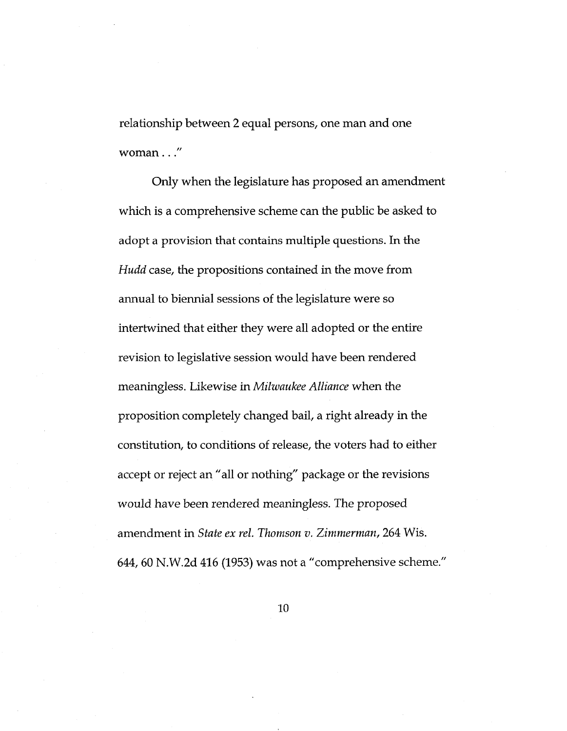relationship between 2 equal persons, one man and one woman..."

Only when the legislature has proposed an amendment which is a comprehensive scheme can the public be asked to adopt a provision that contains multiple questions. In the *Hudd* case, the propositions contained in the move from annual to biennial sessions of the legislature were so intertwined that either they were all adopted or the entire revision to legislative session would have been rendered meaningless. Likewise in *Milzuaukee Alliance* when the proposition completely changed bail, a right already in the constitution, to conditions of release, the voters had to either accept or reject an "all or nothing" package or the revisions would have been rendered meaningless. The proposed amendment in *State ex rel. Thomson v. Zimmerman,* 264 Wis. 644, 60 N.W.2d 416 (1953) was not a "comprehensive scheme."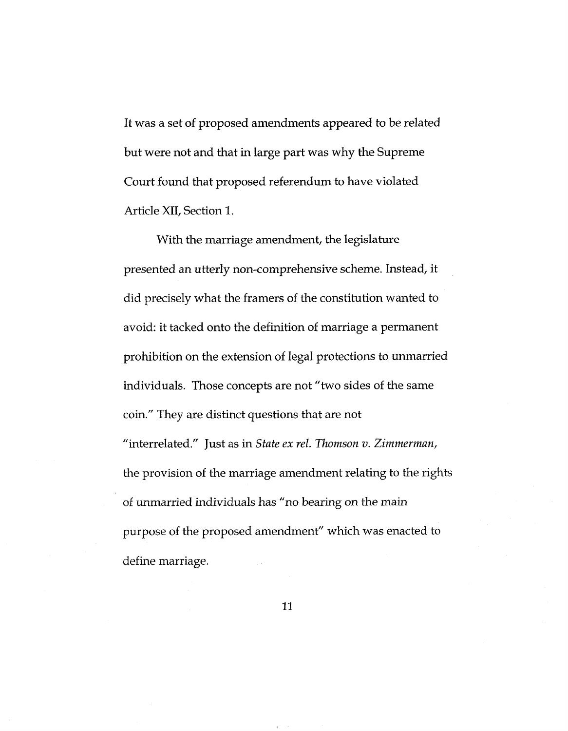It was a set of proposed amendments appeared to be related but were not and that in large part was why the Supreme Court found that proposed referendum to have violated Article XII, Section 1.

With the marriage amendment, the legislature presented an utterly non-comprehensive scheme. Instead, it did precisely what the framers of the constitution wanted to avoid: it tacked onto the definition of marriage <sup>a</sup> permanent prohibition on the extension of legal protections to unmarried individuals. Those concepts are not "two sides of the same coin." They are distinct questions that are not "interrelated." Just as in *State ex rel. Thomson v. Zimmerman,* the provision of the marriage amendment relating to the rights of unmarried individuals has "no bearing on the main purpose of the proposed amendment" which was enacted to define marriage.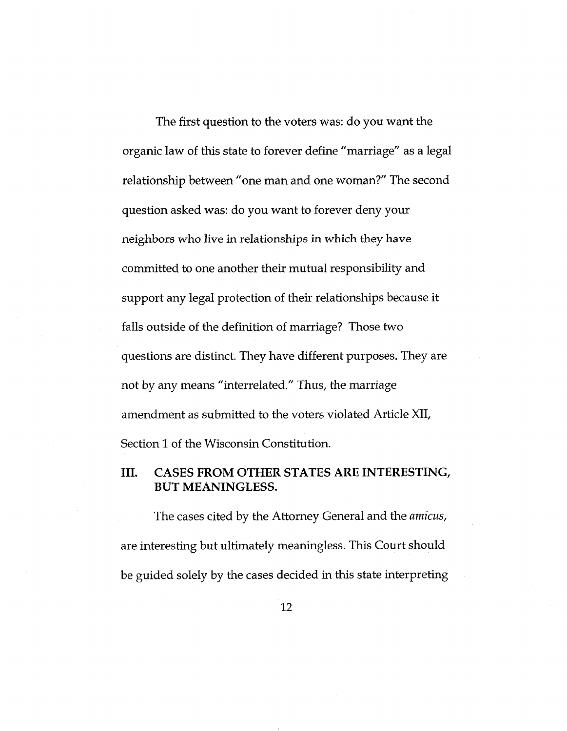The first question to the voters was: do you want the organic law of this state to forever define "marriage" as a legal relationship between "one man and one woman?" The second question asked was: do you want to forever deny your neighbors who live in relationships in which they have committed to one another their mutual responsibility and support any legal protection of their relationships because it falls outside of the definition of marriage? Those two questions are distinct. They have different purposes. They are not by any means "interrelated." Thus, the marriage amendment as submitted to the voters violated Article XII, Section 1 of the Wisconsin Constitution.

### **III. CASES FROM OTHER STATES ARE INTERESTING, BUT MEANINGLESS.**

The cases cited by the Attorney General and the *amicus,* are interesting but ultimately meaningless. This Court should be guided solely by the cases decided in this state interpreting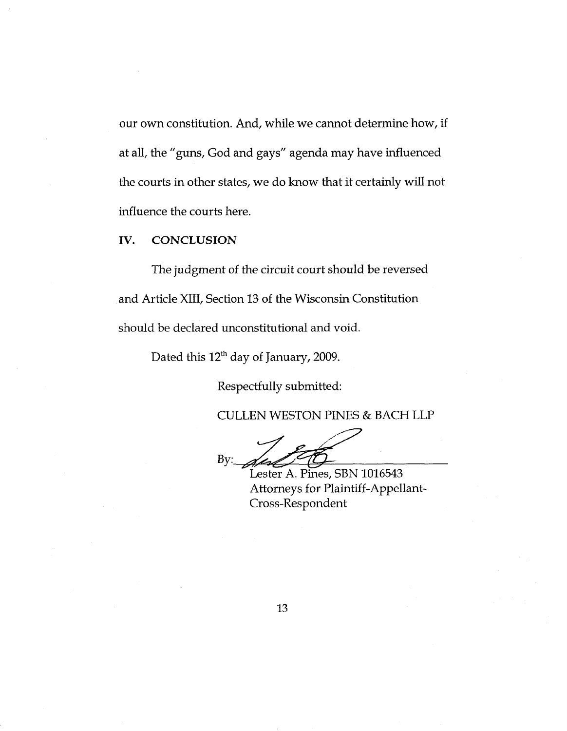our own constitution. And, while we cannot determine how, if at all, the "guns, God and gays" agenda may have influenced the courts in other states, we do know that it certainly will not influence the courts here.

**IV. CONCLUSION**

The judgment of the circuit court should be reversed and Article XIII, Section 13 of the Wisconsin Constitution should be declared unconstitutional and void.

Dated this 12<sup>th</sup> day of January, 2009.

Respectfully submitted:

CULLEN WESTON PINES & BACH LLP

 $By:$ 

Lester A. Pines, SBN 1016543 Attorneys for Plaintiff-Appellant-Cross-Respondent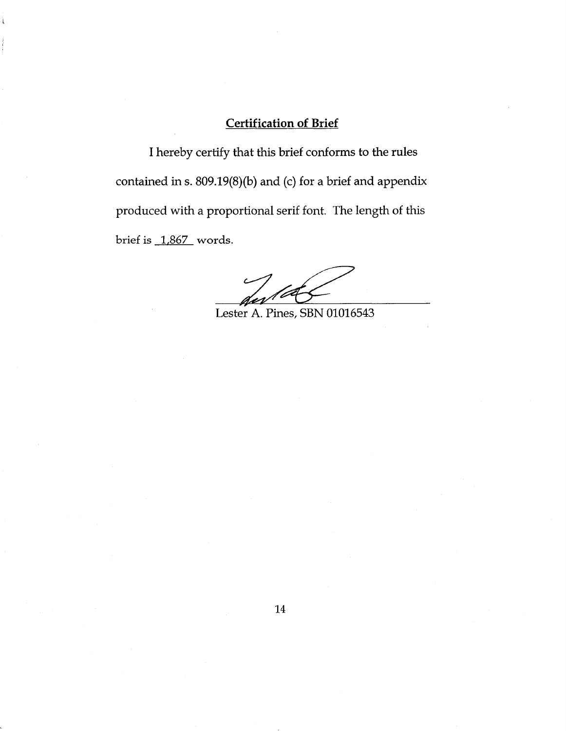### Certification of Brief

**I**

I hereby certify that this brief conforms to the rules contained in s. 809.19(8)(b) and (c) for a brief and appendix produced with a proportional serif font. The length of this brief is 1,867 words.

Lester A. Pines, SBN 01016543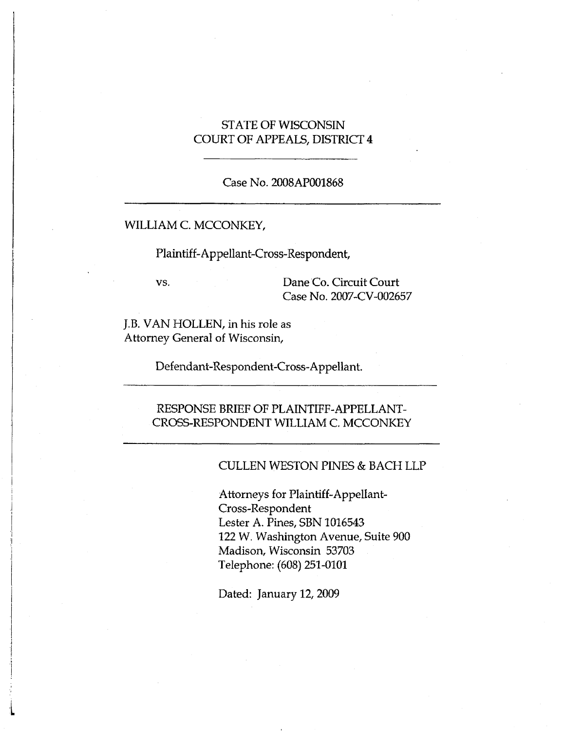### STATE OF WISCONSIN COURT OF APPEALS, DISTRICT 4

#### Case No. 2008AP001868

#### WILLIAM C. MCCONKEY,

Plaintiff-Appellant-Cross-Respondent,

vs.

**J**

**i**

**j 1**

**i**

Dane Co. Circuit Court Case No. 2007-CV-002657

J.B. VAN HOLLEN, in his role as Attorney General of Wisconsin,

Defendant-Respondent-Cross-Appellant.

#### RESPONSE BRIEF OF PLAINTIFF-APPELLANT-CROSS-RESPONDENT WILLIAM C. MCCONKEY

#### CULLEN WESTON PINES & BACH LLP

**<sup>i</sup>** Attorneys for Plaintiff-Appellant-Cross-Respondent Lester A. Pines, SBN 1016543 122 W. Washington Avenue, Suite 900 Madison, Wisconsin 53703 Telephone: (608) 251-0101

Dated: January 12, 2009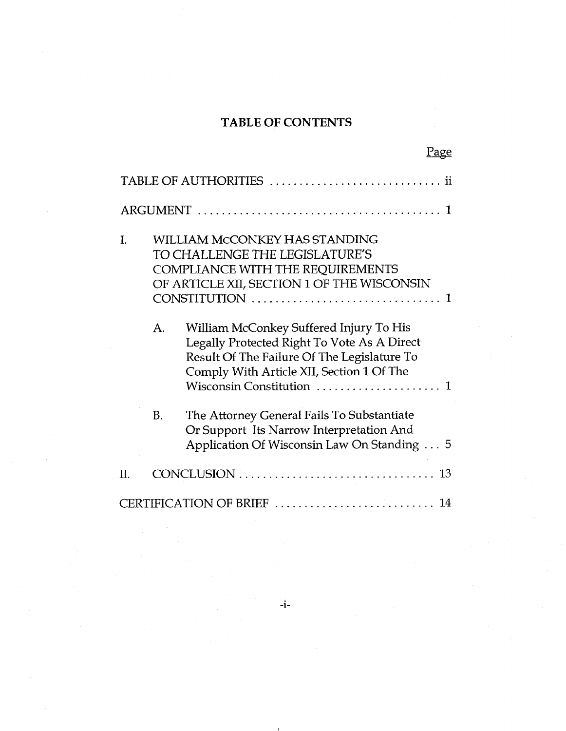## **TABLE OF CONTENTS**

| <u>Page</u>                                                                                                                                                                                                                       |  |  |  |
|-----------------------------------------------------------------------------------------------------------------------------------------------------------------------------------------------------------------------------------|--|--|--|
| TABLE OF AUTHORITIES  ii                                                                                                                                                                                                          |  |  |  |
|                                                                                                                                                                                                                                   |  |  |  |
| <b>WILLIAM MCCONKEY HAS STANDING</b><br>I.<br>TO CHALLENGE THE LEGISLATURE'S<br><b>COMPLIANCE WITH THE REQUIREMENTS</b><br>OF ARTICLE XII, SECTION 1 OF THE WISCONSIN<br>CONSTITUTION                                             |  |  |  |
| William McConkey Suffered Injury To His<br>A <sub>1</sub><br>Legally Protected Right To Vote As A Direct<br>Result Of The Failure Of The Legislature To<br>Comply With Article XII, Section 1 Of The<br>Wisconsin Constitution  1 |  |  |  |
| The Attorney General Fails To Substantiate<br>B.<br>Or Support Its Narrow Interpretation And<br>Application Of Wisconsin Law On Standing 5                                                                                        |  |  |  |
| II.                                                                                                                                                                                                                               |  |  |  |
| CERTIFICATION OF BRIEF<br>14                                                                                                                                                                                                      |  |  |  |

**-i-**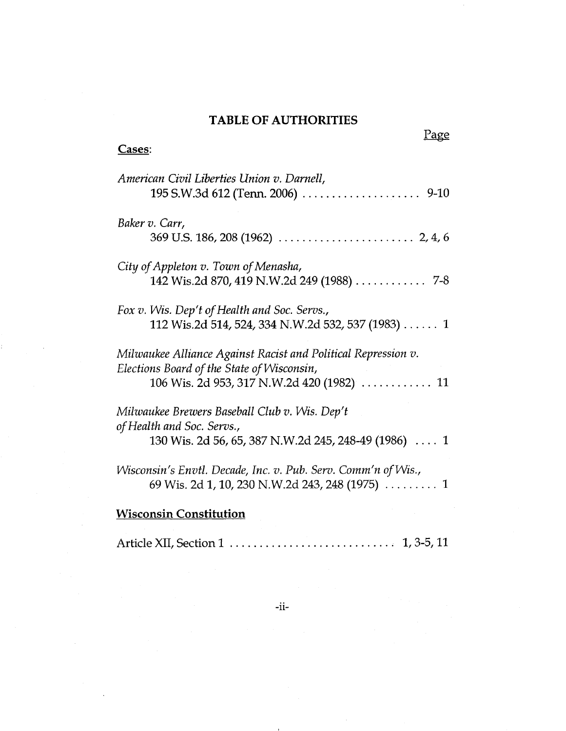## **TABLE OF AUTHORITIES**

**Cases:**

t.

| American Civil Liberties Union v. Darnell,<br>195 S.W.3d 612 (Tenn. 2006) 9-10                                                      |
|-------------------------------------------------------------------------------------------------------------------------------------|
| Baker v. Carr,                                                                                                                      |
| City of Appleton v. Town of Menasha,<br>142 Wis.2d 870, 419 N.W.2d 249 (1988) 7-8                                                   |
| Fox v. Wis. Dep't of Health and Soc. Servs.,<br>112 Wis.2d 514, 524, 334 N.W.2d 532, 537 (1983) 1                                   |
| Milwaukee Alliance Against Racist and Political Repression v.<br>Elections Board of the State of Wisconsin,                         |
| Milwaukee Brewers Baseball Club v. Wis. Dep't<br>of Health and Soc. Servs.,<br>130 Wis. 2d 56, 65, 387 N.W.2d 245, 248-49 (1986)  1 |
| Wisconsin's Envtl. Decade, Inc. v. Pub. Serv. Comm'n of Wis.,<br>69 Wis. 2d 1, 10, 230 N.W.2d 243, 248 (1975)  1                    |
| <b>Wisconsin Constitution</b>                                                                                                       |

Article XII, Section 1 **1000 1000 1000 1000 1000 1000 1000 1000 1000 1100 1100 1100 1100 1100 1100 1100 1100 1100 1100 1100 1100 1100 1100 1100 1100 1100 1100 1100 11**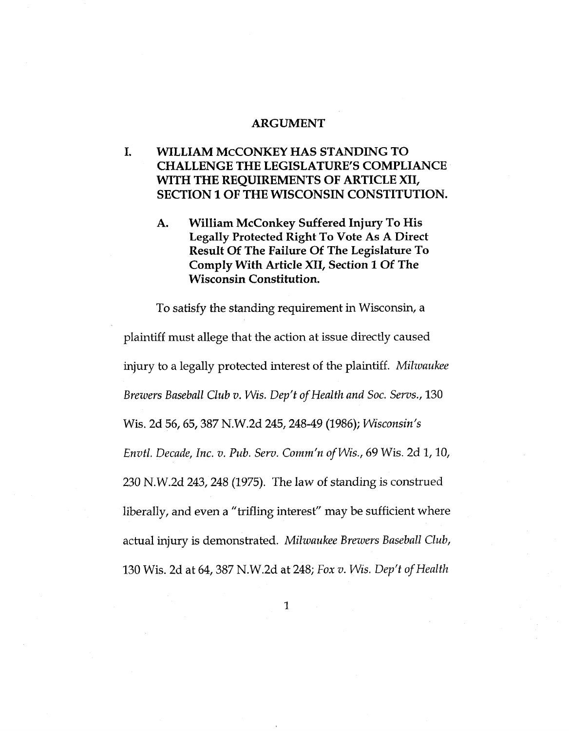#### **ARGUMENT**

### **I. WILLIAM McCONKEY HAS STANDING TO CHALLENGE THE LEGISLATURE'S COMPLIANCE WITH THE REQUIREMENTS OF ARTICLE XII, SECTION 1 OF THE WISCONSIN CONSTITUTION.**

**William McConkey Suffered Injury To His Legally Protected Right To Vote As A Direct Result Of The Failure Of The Legislature To Comply With Article XII, Section 1 Of The Wisconsin Constitution. A.**

To satisfy the standing requirement in Wisconsin, a plaintiff must allege that the action at issue directly caused injury to a legally protected interest of the plaintiff. *Milwaukee Brewers Baseball Club v. Wis. Dep't of Health and Soc. Servs.*, 130 Wis. 2d 56,65,387 N.W.2d 245,248-49 (1986); *Wisconsin's Envtl. Decade, Inc. v. Pub. Serv. Comm'n ofWis., 69* Wis. 2d 1,10,  $230$  N.W.2d  $243$ ,  $248$  (1975). The law of standing is construed liberally, and even a "trifling interest" may be sufficient where actual injury is demonstrated. *Milwaukee Brewers Baseball Club,* 130 Wis. 2d at 64,387 N.W.2d at 248; *Fox v. Wis. Deft ofHealth*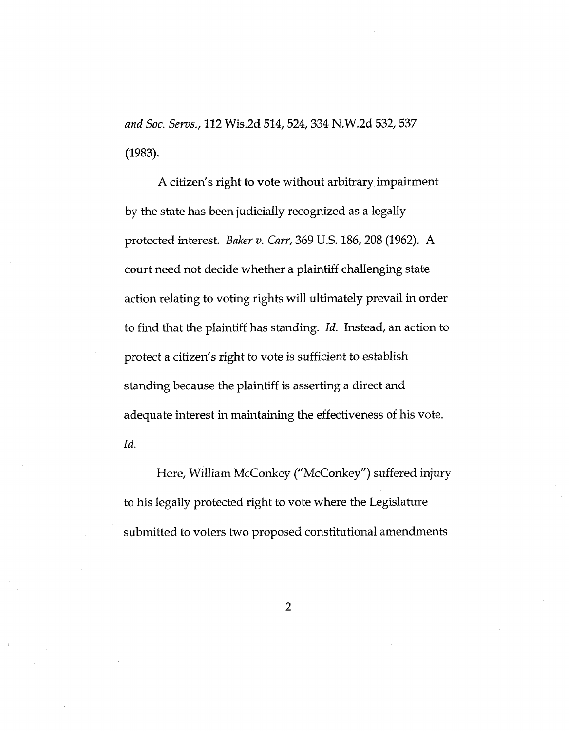*and Soc. Sews.,* 112 Wis.2d 514,524,334 N.W.2d 532,537 (1983).

A citizen's right to vote without arbitrary impairment by the state has been judicially recognized as a legally protected interest. *Baker v. Carr*, 369 U.S. 186, 208 (1962). A court need not decide whether a plaintiff challenging state action relating to voting rights will ultimately prevail in order to find that the plaintiff has standing. *Id.* Instead, an action to protect a citizen's right to vote is sufficient to establish standing because the plaintiff is asserting a direct and adequate interest in maintaining the effectiveness of his vote. *Id.*

Here, William McConkey ("McConkey") suffered injury to his legally protected right to vote where the Legislature submitted to voters two proposed constitutional amendments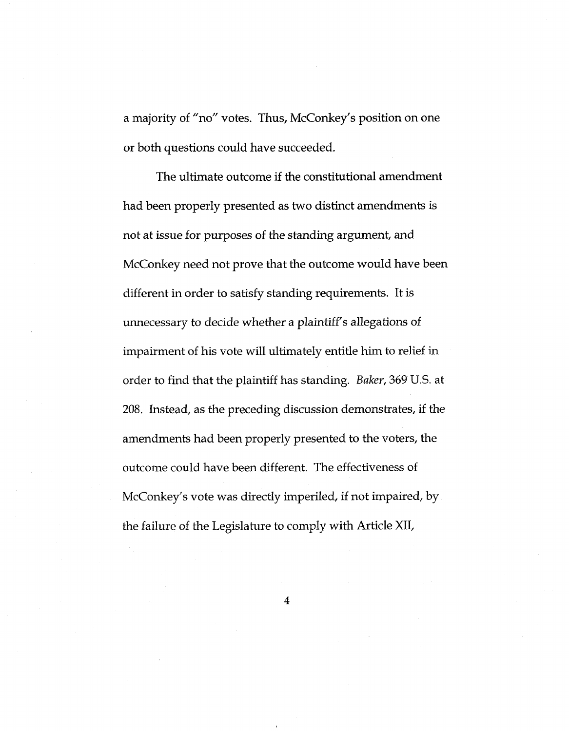a majority of "no" votes. Thus, McConkey's position on one or both questions could have succeeded.

The ultimate outcome if the constitutional amendment had been properly presented as two distinct amendments is not at issue for purposes of the standing argument, and McConkey need not prove that the outcome would have been different in order to satisfy standing requirements. It is unnecessary to decide whether a plaintiff's allegations of impairment of his vote will ultimately entitle him to relief in order to find that the plaintiff has standing. *Baker,* 369 U.S. at 208. Instead, as the preceding discussion demonstrates, if the amendments had been properly presented to the voters, the outcome could have been different. The effectiveness of McConkey's vote was directly imperiled, if not impaired, by the failure of the Legislature to comply with Article XII,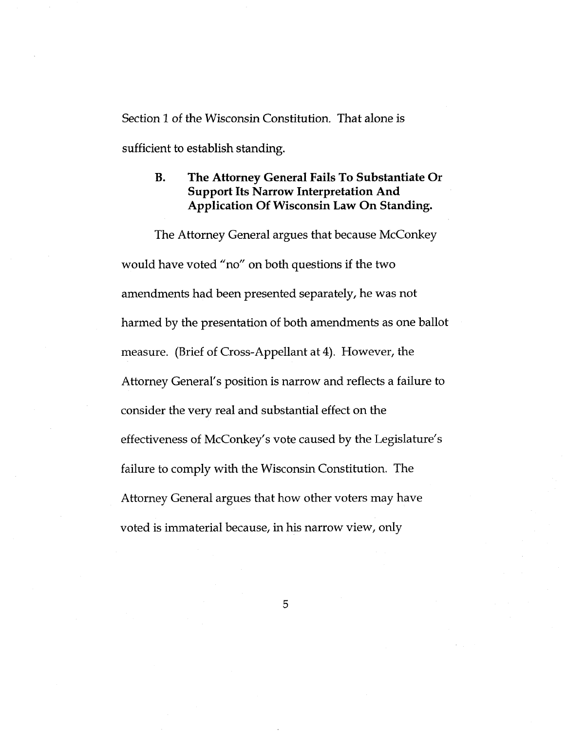Section 1 of the Wisconsin Constitution. That alone is sufficient to establish standing.

#### **The Attorney General Fails To Substantiate Or Support Its Narrow Interpretation And Application Of Wisconsin Law On Standing. B.**

The Attorney General argues that because McConkey would have voted "no" on both questions if the two amendments had been presented separately, he was not harmed by the presentation of both amendments as one ballot measure. (Brief of Cross-Appellant at 4). However, the Attorney General's position is narrow and reflects a failure to consider the very real and substantial effect on the effectiveness of McConkey's vote caused by the Legislature's failure to comply with the Wisconsin Constitution. The Attorney General argues that how other voters may have voted is immaterial because, in his narrow view, only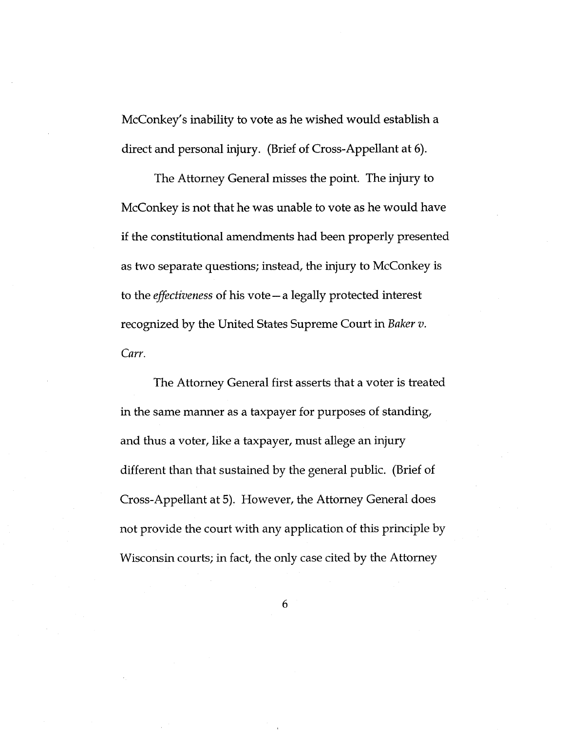McConkey's inability to vote as he wished would establish a direct and personal injury. (Brief of Cross-Appellant at 6).

The Attorney General misses the point. The injury to McConkey is not that he was unable to vote as he would have if the constitutional amendments had been properly presented as two separate questions; instead, the injury to McConkey is to the *effectiveness* of his vote—a legally protected interest recognized by the United States Supreme Court in *Baker v. Carr.*

The Attorney General first asserts that a voter is treated in the same manner as a taxpayer for purposes of standing. and thus a voter, like a taxpayer, must allege an injury different than that sustained by the general public. (Brief of Cross-Appellant at 5). However, the Attorney General does not provide the court with any application of this principle by Wisconsin courts; in fact, the only case cited by the Attorney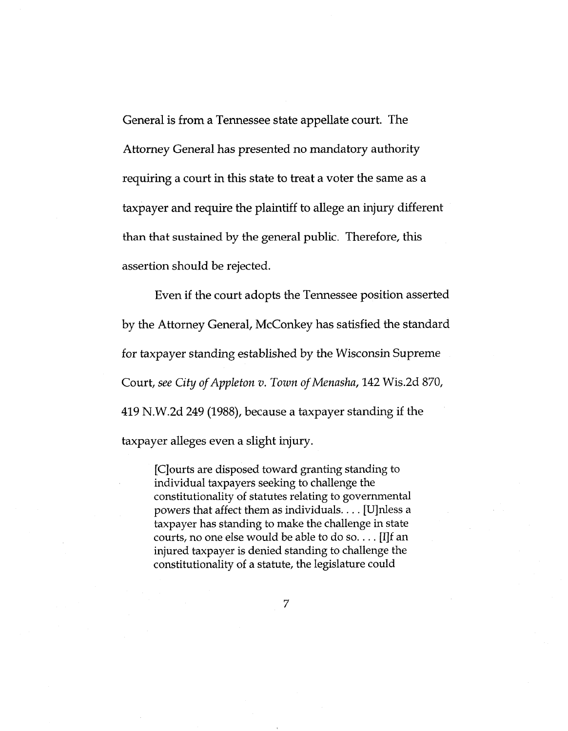General is from a Tennessee state appellate court. The Attorney General has presented no mandatory authority requiring a court in this state to treat a voter the same as a taxpayer and require the plaintiff to allege an injury different than that sustained by the general public. Therefore, this assertion should be rejected.

Even if the court adopts the Tennessee position asserted by the Attorney General, McConkey has satisfied the standard for taxpayer standing established by the Wisconsin Supreme Court, *see City ofAppleton v. Town ofMenasha,* 142 Wis.2d 870, 419 N.W.2d 249 (1988), because <sup>a</sup> taxpayer standing if the taxpayer alleges even a slight injury.

[Cjourts are disposed toward granting standing to individual taxpayers seeking to challenge the constitutionality of statutes relating to governmental powers that affect them as individuals.... [Ujnless <sup>a</sup> taxpayer has standing to make the challenge in state courts, no one else would be able to do so.... [IJf an injured taxpayer is denied standing to challenge the constitutionality of a statute, the legislature could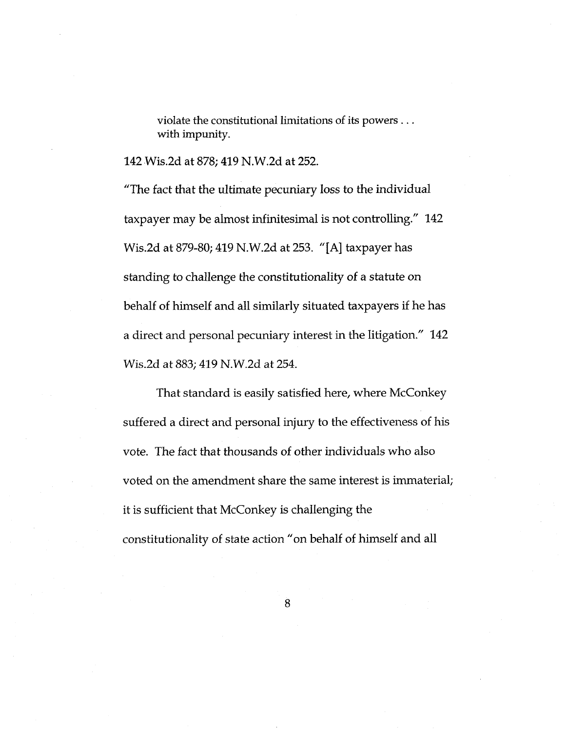violate the constitutional limitations of its powers ... with impunity.

142 Wis.2d at 878; 419 N.W.2d at 252.

"The fact that the ultimate pecuniary loss to the individual taxpayer may be almost infinitesimal is not controlling." 142 Wis.2d at 879-80; 419 N.W.2d at 253. "[A] taxpayer has standing to challenge the constitutionality of a statute on behalf of himself and all similarly situated taxpayers if he has a direct and personal pecuniary interest in the litigation." 142 Wis.2d at 883; 419 N.W.2d at 254.

That standard is easily satisfied here, where McConkey suffered a direct and personal injury to the effectiveness of his vote. The fact that thousands of other individuals who also voted on the amendment share the same interest is immaterial; it is sufficient that McConkey is challenging the constitutionality of state action "on behalf of himself and all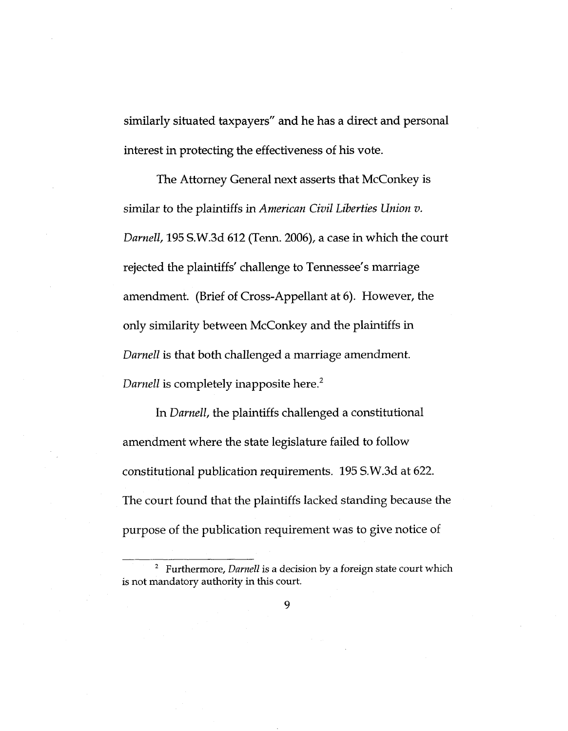similarly situated taxpayers" and he has a direct and personal interest in protecting the effectiveness of his vote.

The Attorney General next asserts that McConkey is similar to the plaintiffs in *American Civil Liberties Union v. Darnell,* 195 S.W.3d 612 (Tenn. 2006), a case in which the court rejected the plaintiffs' challenge to Tennessee's marriage amendment. (Brief of Cross-Appellant at 6). However, the only similarity between McConkey and the plaintiffs in *Darnell* is that both challenged a marriage amendment. *Darnell* is completely inapposite here.<sup>2</sup>

In *Darnell,* the plaintiffs challenged a constitutional amendment where the state legislature failed to follow constitutional publication requirements. 195 S.W.3d at 622. The court found that the plaintiffs lacked standing because the purpose of the publication requirement was to give notice of

<sup>2</sup> Furthermore, *Darnell* is a decision by a foreign state court which is not mandatory authority in this court.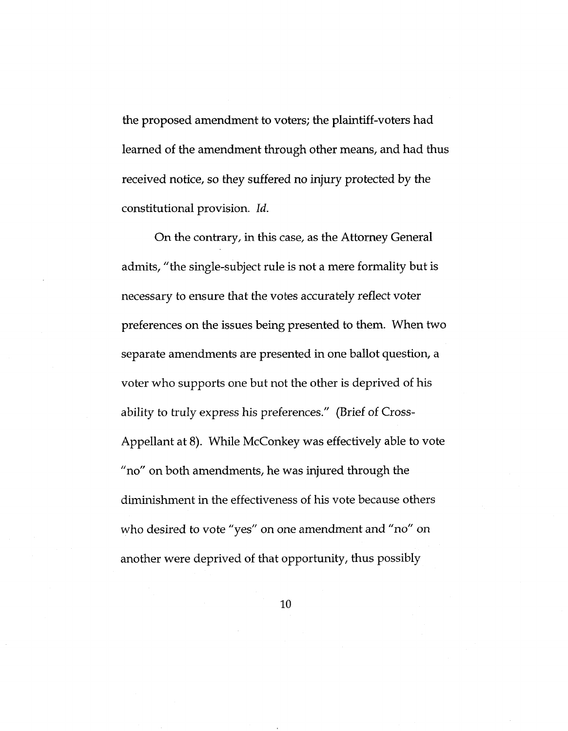the proposed amendment to voters; the plaintiff-voters had learned of the amendment through other means, and had thus received notice, so they suffered no injury protected by the constitutional provision. *Id.*

On the contrary, in this case, as the Attorney General admits, "the single-subject rule is not a mere formality but is necessary to ensure that the votes accurately reflect voter preferences on the issues being presented to them. When two separate amendments are presented in one ballot question, a voter who supports one but not the other is deprived of his ability to truly express his preferences." (Brief of Cross-Appellant at 8). While McConkey was effectively able to vote "no" on both amendments, he was injured through the diminishment in the effectiveness of his vote because others who desired to vote "yes" on one amendment and "no" on another were deprived of that opportunity, thus possibly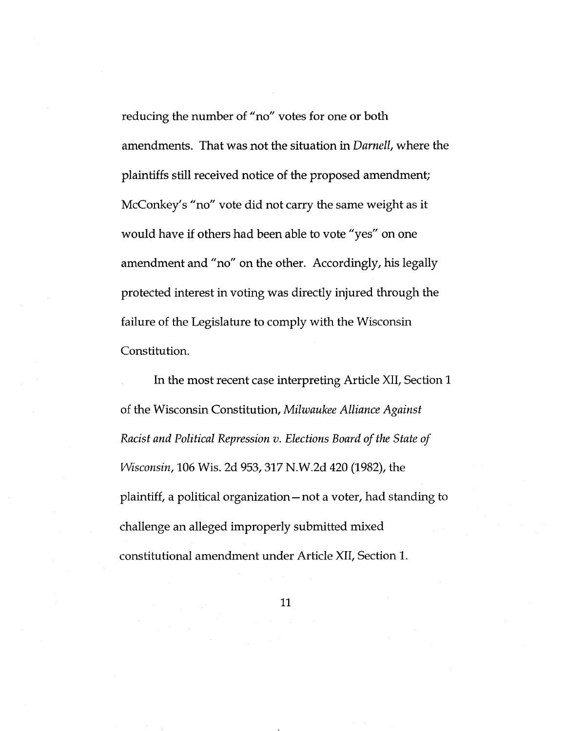reducing the number of "no" votes for one or both amendments. That was not the situation in *Darnell,* where the plaintiffs still received notice of the proposed amendment; McConkey's "no" vote did not carry the same weight as it would have if others had been able to vote "yes" on one amendment and "no" on the other. Accordingly, his legally protected interest in voting was directly injured through the failure of the Legislature to comply with the Wisconsin Constitution.

In the most recent case interpreting Article XII, Section <sup>1</sup> of the Wisconsin Constitution, *Milwaukee Alliance Against Racist and Political Repression v. Elections Board ofthe State of Wisconsin,* 106 Wis. 2d 953, 317 N.W.2d 420 (1982), the plaintiff, a political organization—not a voter, had standing to challenge an alleged improperly submitted mixed constitutional amendment under Article XII, Section 1.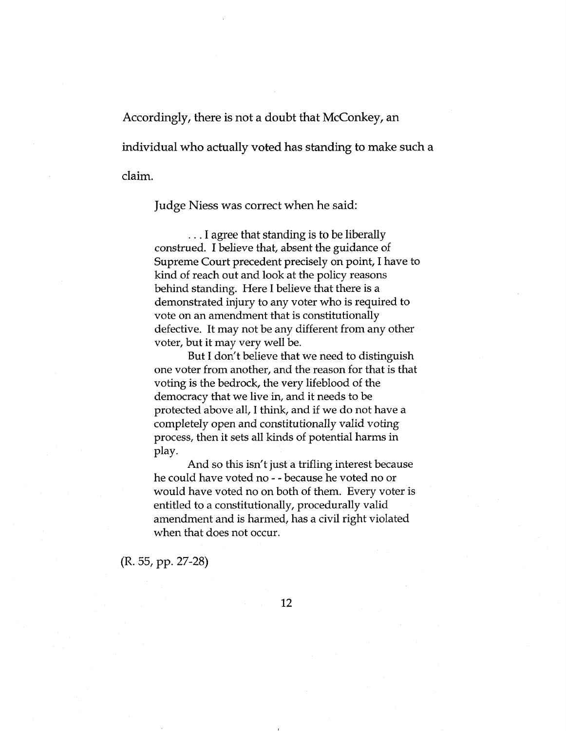Accordingly, there is not a doubt that McConkey, an individual who actually voted has standing to make such a claim.

Judge Niess was correct when he said:

... I agree that standing is to be liberally construed. I believe that, absent the guidance of Supreme Court precedent precisely on point, I have to kind of reach out and look at the policy reasons behind standing. Here I believe that there is a demonstrated injury to any voter who is required to vote on an amendment that is constitutionally defective. It may not be any different from any other voter, but it may very well be.

But I don't believe that we need to distinguish one voter from another, and the reason for that is that voting is the bedrock, the very lifeblood of the democracy that we live in, and it needs to be protected above all, I think, and if we do not have <sup>a</sup> completely open and constitutionally valid voting process, then it sets all kinds of potential harms in play.

And so this isn't just a trifling interest because he could have voted no - - because he voted no or would have voted no on both of them. Every voter is entitled to a constitutionally, procedurally valid amendment and is harmed, has a civil right violated when that does not occur.

(R. 55, pp. 27-28)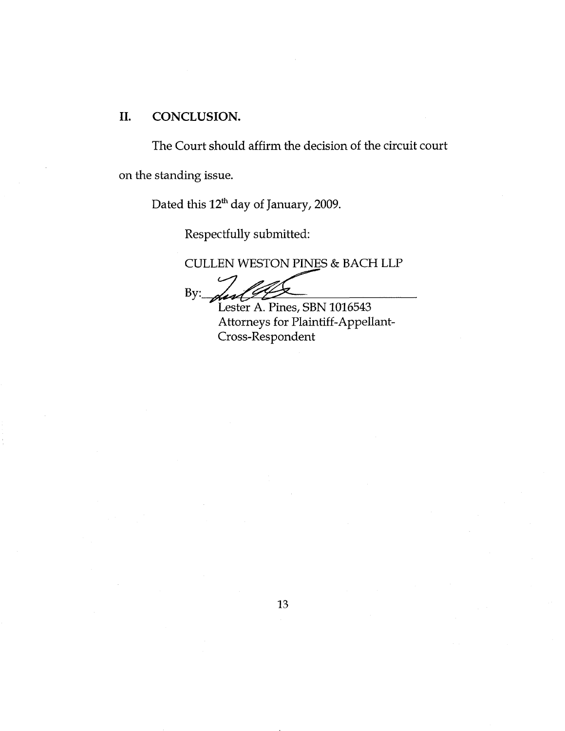### **II. CONCLUSION.**

The Court should affirm the decision of the circuit court on the standing issue.

Dated this 12<sup>th</sup> day of January, 2009.

Respectfully submitted:

CULLEN WESTON PINES & BACH LLP

 $By:$ 

Lester A. Pines, SBN 1016543 Attorneys for Plaintiff-Appellant-Cross-Respondent